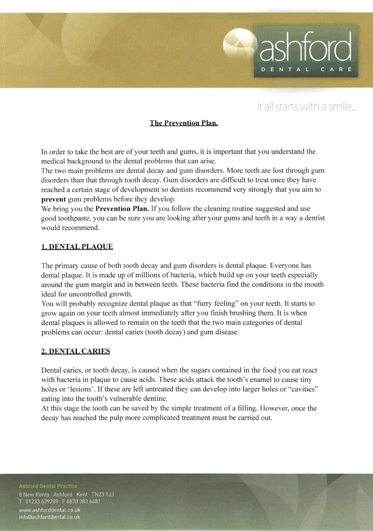## it all starts with a smile.

DENTA

## The Prevention Plan.

In order to take the best are of your teeth and gums, it is important that you understand the medical background to the dental problems that can arise.

The two main problems are dental decay and gum disorders. More teeth are lost through gum disorders than that through tooth decay. Gum disorders are diffrcult to treat once they have reached a certain stage of development so dentists recommend very strongly that you aim to prevent gum problems before they develop.

We bring you the **Prevention Plan.** If you follow the cleaning routine suggested and use good toothpaste, you can be sure you are looking after your gums and teeth in a way a dentist would recommend.

#### 1. DENTAL PLAOUE

The primary cause of both tooth decay and gum disorders is dental plaque. Everyone has dental plaque. It is made up of millions of bacteria, which build up on your teeth especially around the gum margin and in between teeth. These bacteria find the conditions in the mouth ideal for uncontrolled growth.

You will probably recognize dental plaque as that "furry feeling" on your teeth. It starts to grow again on your teeth almost immediately after you finish brushing them. It is when dental plaques is allowed to remain on the teeth that the two main categories of dental problems can occur: dental caries (tooth decay) and gum disease.

## 2. DENTAL CARIES

Dental caries, or tooth decay, is caused when the sugars contained in the food you eat react with bacteria in plaque to cause acids. These acids attack the tooth's enamel to cause tiny holes or 'lesions'. If these are left untreated they can develop into larger holes or "cavities" eating into the tooth's vulnerable dentine.

At this stage the tooth can be saved by the simple treatment of a filling. However, once the decay has reached the pulp more complicated treatment must be carried out.

8 New Rents Ashford Kent TN23 1JJ T 01233 639289 F 0870 383 6481

www.ashforddental.co.uk info@ashforddental.co.uk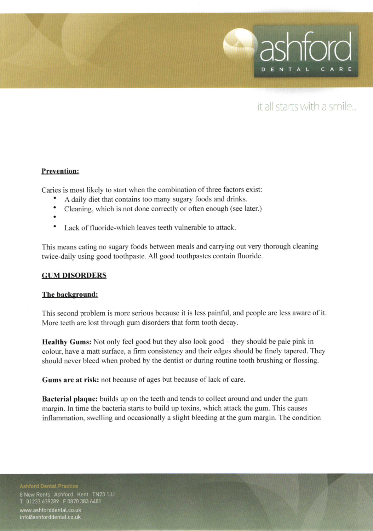

# it all starts with a smile...

## Prevention:

Caries is most likely to start when the combination of three factors exist:

- A daily diet that contains too many sugary foods and drinks.
- Cleaning, which is not done correctly or often enough (see later.)
- 
- Lack of fluoride-which leaves teeth vulnerable to attack.

This means eating no sugary foods between meals and carrying out very thorough cleaning twice-daily using good toothpaste. All good toothpastes contain fluoride.

#### **GUM DISORDERS**

#### The background:

This second problem is more serious because it is less painful, and people are less aware of it. More teeth are lost through gum disorders that form tooth decay.

Healthy Gums: Not only feel good but they also look good – they should be pale pink in colour, have a maft surface, a firm consistency and their edges should be finely tapered. They should never bleed when probed by the dentist or during routine tooth brushing or flossing.

Gums are at risk: not because of ages but because of lack of care.

Bacterial plaque: builds up on the teeth and tends to collect around and under the gum margin. In time the bacteria starts to build up toxins, which attack the gum. This causes inflammation, swelling and occasionally a slight bleeding at the gum margin. The condition

8 New Rents Ashford Kent TN23 1JJ

T 01233 639289 F 0870 383 6481

www.ashforddental.co.uk info@ashforddental.co.uk